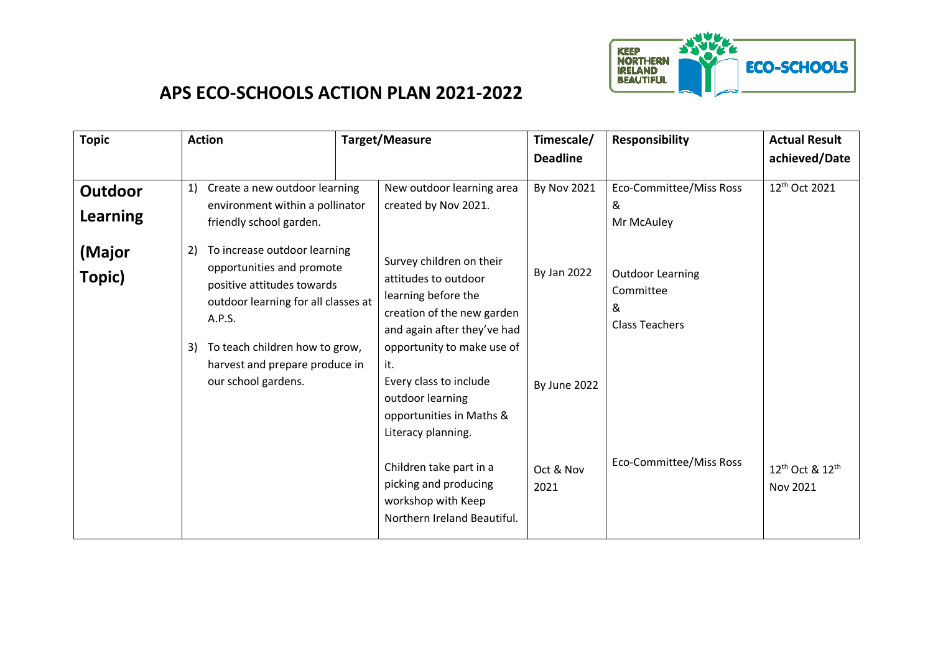

## **APS ECO-SCHOOLS ACTION PLAN 2021-2022**

| <b>Topic</b>                      | <b>Action</b>                                                                                                                                                                                                                                   | Target/Measure                                                                                                                                                                                                                                                            | Timescale/<br><b>Deadline</b> | <b>Responsibility</b>                                              | <b>Actual Result</b><br>achieved/Date               |
|-----------------------------------|-------------------------------------------------------------------------------------------------------------------------------------------------------------------------------------------------------------------------------------------------|---------------------------------------------------------------------------------------------------------------------------------------------------------------------------------------------------------------------------------------------------------------------------|-------------------------------|--------------------------------------------------------------------|-----------------------------------------------------|
| <b>Outdoor</b><br><b>Learning</b> | Create a new outdoor learning<br>1)<br>environment within a pollinator<br>friendly school garden.                                                                                                                                               | New outdoor learning area<br>created by Nov 2021.                                                                                                                                                                                                                         | <b>By Nov 2021</b>            | Eco-Committee/Miss Ross<br>&<br>Mr McAuley                         | 12 <sup>th</sup> Oct 2021                           |
| (Major<br>Topic)                  | To increase outdoor learning<br>2)<br>opportunities and promote<br>positive attitudes towards<br>outdoor learning for all classes at<br>A.P.S.<br>To teach children how to grow,<br>3)<br>harvest and prepare produce in<br>our school gardens. | Survey children on their<br>attitudes to outdoor<br>learning before the<br>creation of the new garden<br>and again after they've had<br>opportunity to make use of<br>it.<br>Every class to include<br>outdoor learning<br>opportunities in Maths &<br>Literacy planning. | By Jan 2022<br>By June 2022   | <b>Outdoor Learning</b><br>Committee<br>&<br><b>Class Teachers</b> |                                                     |
|                                   |                                                                                                                                                                                                                                                 | Children take part in a<br>picking and producing<br>workshop with Keep<br>Northern Ireland Beautiful.                                                                                                                                                                     | Oct & Nov<br>2021             | Eco-Committee/Miss Ross                                            | 12 <sup>th</sup> Oct & 12 <sup>th</sup><br>Nov 2021 |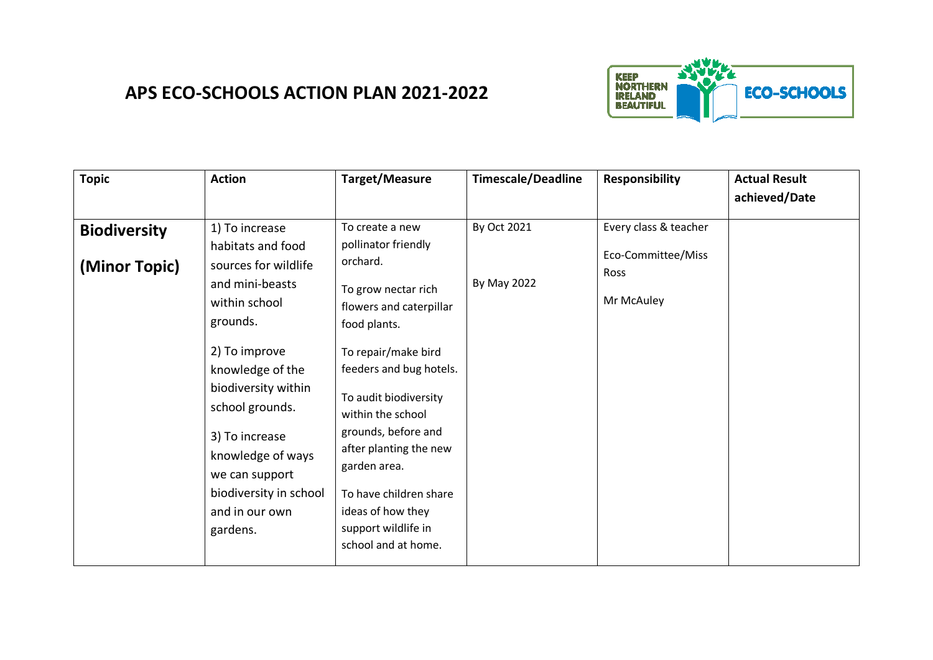

## **APS ECO-SCHOOLS ACTION PLAN 2021-2022**

| <b>Topic</b>                         | <b>Action</b>                                                                                                                                                                                                                                                                                               | Target/Measure                                                                                                                                                                                                                                                                                                                                                                     | <b>Timescale/Deadline</b>  | <b>Responsibility</b>                                             | <b>Actual Result</b><br>achieved/Date |
|--------------------------------------|-------------------------------------------------------------------------------------------------------------------------------------------------------------------------------------------------------------------------------------------------------------------------------------------------------------|------------------------------------------------------------------------------------------------------------------------------------------------------------------------------------------------------------------------------------------------------------------------------------------------------------------------------------------------------------------------------------|----------------------------|-------------------------------------------------------------------|---------------------------------------|
| <b>Biodiversity</b><br>(Minor Topic) | 1) To increase<br>habitats and food<br>sources for wildlife<br>and mini-beasts<br>within school<br>grounds.<br>2) To improve<br>knowledge of the<br>biodiversity within<br>school grounds.<br>3) To increase<br>knowledge of ways<br>we can support<br>biodiversity in school<br>and in our own<br>gardens. | To create a new<br>pollinator friendly<br>orchard.<br>To grow nectar rich<br>flowers and caterpillar<br>food plants.<br>To repair/make bird<br>feeders and bug hotels.<br>To audit biodiversity<br>within the school<br>grounds, before and<br>after planting the new<br>garden area.<br>To have children share<br>ideas of how they<br>support wildlife in<br>school and at home. | By Oct 2021<br>By May 2022 | Every class & teacher<br>Eco-Committee/Miss<br>Ross<br>Mr McAuley |                                       |